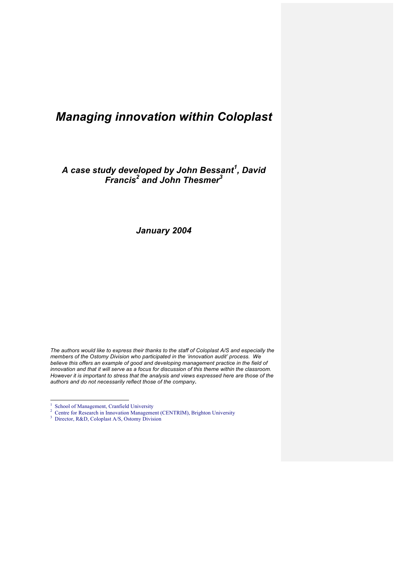# *Managing innovation within Coloplast*

*A case study developed by John Bessant<sup>1</sup> , David Francis<sup>2</sup> and John Thesmer3*

*January 2004*

*The authors would like to express their thanks to the staff of Coloplast A/S and especially the members of the Ostomy Division who participated in the 'innovation audit' process. We believe this offers an example of good and developing management practice in the field of innovation and that it will serve as a focus for discussion of this theme within the classroom. However it is important to stress that the analysis and views expressed here are those of the authors and do not necessarily reflect those of the company***.**

 $\frac{1}{1}$  $1$  School of Management, Cranfield University

<sup>&</sup>lt;sup>2</sup> Centre for Research in Innovation Management (CENTRIM), Brighton University

<sup>&</sup>lt;sup>3</sup> Director, R&D, Coloplast A/S, Ostomy Division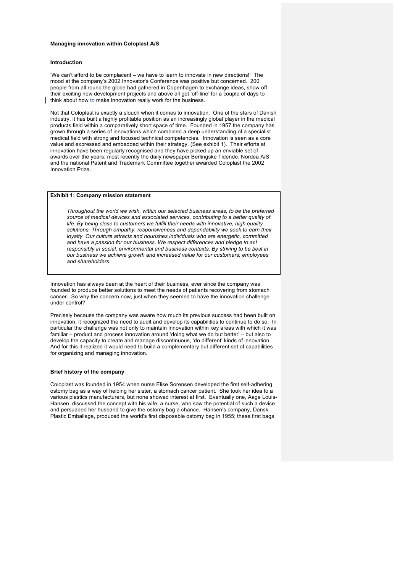#### **Managing innovation within Coloplast A/S**

## **Introduction**

'We can't afford to be complacent – we have to learn to innovate in new directions!' The mood at the company's 2002 Innovator's Conference was positive but concerned. 200 people from all round the globe had gathered in Copenhagen to exchange ideas, show off their exciting new development projects and above all get 'off-line' for a couple of days to think about how to make innovation really work for the business.

Not that Coloplast is exactly a slouch when it comes to innovation. One of the stars of Danish industry, it has built a highly profitable position as an increasingly global player in the medical products field within a comparatively short space of time. Founded in 1957 the company has grown through a series of innovations which combined a deep understanding of a specialist medical field with strong and focused technical competencies. Innovation is seen as a core value and expressed and embedded within their strategy. (See exhibit 1). Their efforts at innovation have been regularly recognised and they have picked up an enviable set of awards over the years; most recently the daily newspaper Berlingske Tidende, Nordea A/S and the national Patent and Trademark Committee together awarded Coloplast the 2002 Innovation Prize.

#### **Exhibit 1: Company mission statement**

*Throughout the world we wish, within our selected business areas, to be the preferred source of medical devices and associated services, contributing to a better quality of life. By being close to customers we fulfill their needs with innovative, high quality solutions. Through empathy, responsiveness and dependability we seek to earn their loyalty. Our culture attracts and nourishes individuals who are energetic, committed and have a passion for our business. We respect differences and pledge to act responsibly in social, environmental and business contexts. By striving to be best in our business we achieve growth and increased value for our customers, employees and shareholders.*

Innovation has always been at the heart of their business, ever since the company was founded to produce better solutions to meet the needs of patients recovering from stomach cancer. So why the concern now, just when they seemed to have the innovation challenge under control?

Precisely because the company was aware how much its previous success had been built on innovation, it recognized the need to audit and develop its capabilities to continue to do so. In particular the challenge was not only to maintain innovation within key areas with which it was familiar – product and process innovation around 'doing what we do but better' – but also to develop the capacity to create and manage discontinuous, 'do different' kinds of innovation. And for this it realized it would need to build a complementary but different set of capabilities for organizing and managing innovation.

#### **Brief history of the company**

Coloplast was founded in 1954 when nurse Elise Sorensen developed the first self-adhering ostomy bag as a way of helping her sister, a stomach cancer patient. She took her idea to a various plastics manufacturers, but none showed interest at first. Eventually one, Aage Louis-Hansen discussed the concept with his wife, a nurse, who saw the potential of such a device and persuaded her husband to give the ostomy bag a chance. Hansen's company, Dansk Plastic Emballage, produced the world's first disposable ostomy bag in 1955; these first bags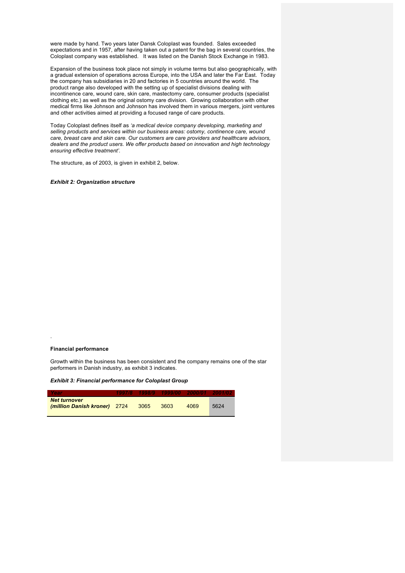were made by hand. Two years later Dansk Coloplast was founded. Sales exceeded expectations and in 1957, after having taken out a patent for the bag in several countries, the Coloplast company was established. It was listed on the Danish Stock Exchange in 1983.

Expansion of the business took place not simply in volume terms but also geographically, with a gradual extension of operations across Europe, into the USA and later the Far East. Today the company has subsidiaries in 20 and factories in 5 countries around the world. The product range also developed with the setting up of specialist divisions dealing with incontinence care, wound care, skin care, mastectomy care, consumer products (specialist clothing etc.) as well as the original ostomy care division. Growing collaboration with other medical firms like Johnson and Johnson has involved them in various mergers, joint ventures and other activities aimed at providing a focused range of care products.

Today Coloplast defines itself as *'a medical device company developing, marketing and selling products and services within our business areas: ostomy, continence care, wound care, breast care and skin care. Our customers are care providers and healthcare advisors, dealers and the product users. We offer products based on innovation and high technology ensuring effective treatment'.*

The structure, as of 2003, is given in exhibit 2, below.

*Exhibit 2: Organization structure*

## **Financial performance**

.

Growth within the business has been consistent and the company remains one of the star performers in Danish industry, as exhibit 3 indicates.

*Exhibit 3: Financial performance for Coloplast Group*

| - Year                                              |        | 1997/8 1998/9 1999/00 2000/01 2001/02 |      |      |
|-----------------------------------------------------|--------|---------------------------------------|------|------|
| <b>Net turnover</b><br>(million Danish kroner) 2724 | - 3065 | - 3603                                | 4069 | 5624 |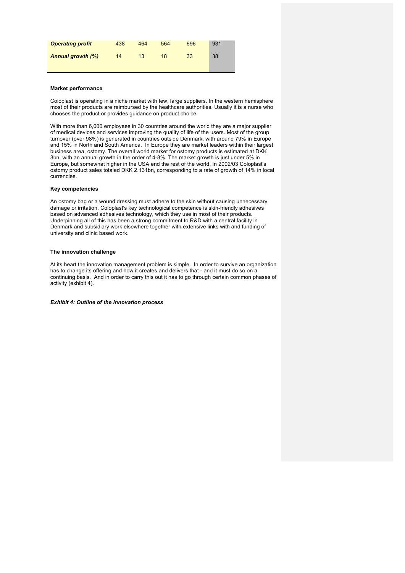| <b>Operating profit</b>  | 438 | 464 | 564 | 696 | 931 |
|--------------------------|-----|-----|-----|-----|-----|
| <b>Annual growth (%)</b> | 14  | 13  | 18  | 33  | 38  |

## **Market performance**

Coloplast is operating in a niche market with few, large suppliers. In the western hemisphere most of their products are reimbursed by the healthcare authorities. Usually it is a nurse who chooses the product or provides guidance on product choice.

With more than 6,000 employees in 30 countries around the world they are a major supplier of medical devices and services improving the quality of life of the users. Most of the group turnover (over 98%) is generated in countries outside Denmark, with around 79% in Europe and 15% in North and South America. In Europe they are market leaders within their largest business area, ostomy. The overall world market for ostomy products is estimated at DKK 8bn, with an annual growth in the order of 4-8%. The market growth is just under 5% in Europe, but somewhat higher in the USA end the rest of the world. In 2002/03 Coloplast's ostomy product sales totaled DKK 2.131bn, corresponding to a rate of growth of 14% in local currencies.

## **Key competencies**

An ostomy bag or a wound dressing must adhere to the skin without causing unnecessary damage or irritation. Coloplast's key technological competence is skin-friendly adhesives based on advanced adhesives technology, which they use in most of their products. Underpinning all of this has been a strong commitment to R&D with a central facility in Denmark and subsidiary work elsewhere together with extensive links with and funding of university and clinic based work.

#### **The innovation challenge**

At its heart the innovation management problem is simple. In order to survive an organization has to change its offering and how it creates and delivers that - and it must do so on a continuing basis. And in order to carry this out it has to go through certain common phases of activity (exhibit 4).

*Exhibit 4: Outline of the innovation process*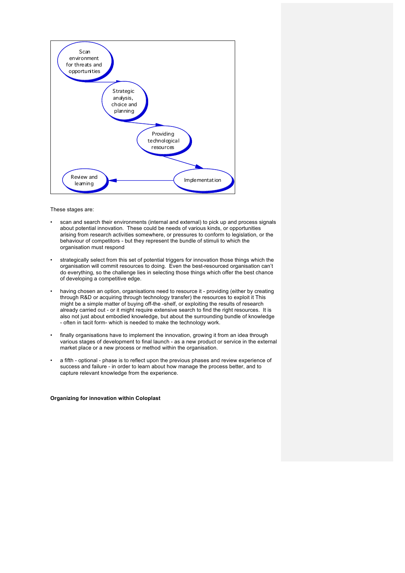

These stages are:

- scan and search their environments (internal and external) to pick up and process signals about potential innovation. These could be needs of various kinds, or opportunities arising from research activities somewhere, or pressures to conform to legislation, or the behaviour of competitors - but they represent the bundle of stimuli to which the organisation must respond
- strategically select from this set of potential triggers for innovation those things which the organisation will commit resources to doing. Even the best-resourced organisation can't do everything, so the challenge lies in selecting those things which offer the best chance of developing a competitive edge.
- having chosen an option, organisations need to resource it providing (either by creating through R&D or acquiring through technology transfer) the resources to exploit it This might be a simple matter of buying off-the -shelf, or exploiting the results of research already carried out - or it might require extensive search to find the right resources. It is also not just about embodied knowledge, but about the surrounding bundle of knowledge - often in tacit form- which is needed to make the technology work.
- finally organisations have to implement the innovation, growing it from an idea through various stages of development to final launch - as a new product or service in the external market place or a new process or method within the organisation.
- a fifth optional phase is to reflect upon the previous phases and review experience of success and failure - in order to learn about how manage the process better, and to capture relevant knowledge from the experience.

## **Organizing for innovation within Coloplast**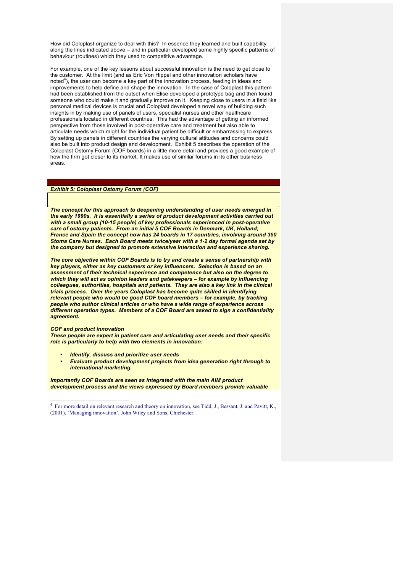How did Coloplast organize to deal with this? In essence they learned and built capability along the lines indicated above – and in particular developed some highly specific patterns of behaviour (routines) which they used to competitive advantage.

For example, one of the key lessons about successful innovation is the need to get close to the customer. At the limit (and as Eric Von Hippel and other innovation scholars have noted<sup>4</sup>), the user can become a key part of the innovation process, feeding in ideas and improvements to help define and shape the innovation. In the case of Coloplast this pattern had been established from the outset when Elise developed a prototype bag and then found someone who could make it and gradually improve on it. Keeping close to users in a field like personal medical devices is crucial and Coloplast developed a novel way of building such insights in by making use of panels of users, specialist nurses and other healthcare professionals located in different countries. This had the advantage of getting an informed perspective from those involved in post-operative care and treatment but also able to articulate needs which might for the individual patient be difficult or embarrassing to express. By setting up panels in different countries the varying cultural attitudes and concerns could also be built into product design and development. Exhibit 5 describes the operation of the Coloplast Ostomy Forum (COF boards) in a little more detail and provides a good example of how the firm got closer to its market. It makes use of similar forums in its other business areas.

## *Exhibit 5: Coloplast Ostomy Forum (COF)*

*The concept for this approach to deepening understanding of user needs emerged in the early 1990s. It is essentially a series of product development activities carried out with a small group (10-15 people) of key professionals experienced in post-operative care of ostomy patients. From an initial 5 COF Boards in Denmark, UK, Holland, France and Spain the concept now has 24 boards in 17 countries, involving around 350 Stoma Care Nurses. Each Board meets twice/year with a 1-2 day formal agenda set by the company but designed to promote extensive interaction and experience sharing.*

*The core objective within COF Boards is to try and create a sense of partnership with key players, either as key customers or key influencers. Selection is based on an assessment of their technical experience and competence but also on the degree to which they will act as opinion leaders and gatekeepers – for example by influencing colleagues, authorities, hospitals and patients. They are also a key link in the clinical trials process. Over the years Coloplast has become quite skilled in identifying relevant people who would be good COF board members – for example, by tracking people who author clinical articles or who have a wide range of experience across different operation types. Members of a COF Board are asked to sign a confidentiality agreement.*

#### *COF and product innovation*

*These people are expert in patient care and articulating user needs and their specific role is particularly to help with two elements in innovation:*

- *Identify, discuss and prioritize user needs*
- *Evaluate product development projects from idea generation right through to international marketing.*

*Importantly COF Boards are seen as integrated with the main AIM product development process and the views expressed by Board members provide valuable* 

 <sup>4</sup> For more detail on relevant research and theory on innovation, see Tidd, J., Bessant, J. and Pavitt, K., (2001), 'Managing innovation', John Wiley and Sons, Chichester.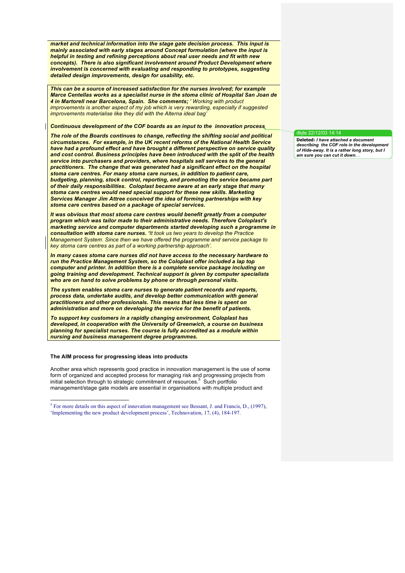*market and technical information into the stage gate decision process. This input is mainly associated with early stages around Concept formulation (where the input is helpful in testing and refining perceptions about real user needs and fit with new concepts). There is also significant involvement around Product Development where involvement is concerned with evaluating and responding to prototypes, suggesting detailed design improvements, design for usability, etc.*

*This can be a source of increased satisfaction for the nurses involved; for example Marce Centellas works as a specialist nurse in the stoma clinic of Hospital San Joan de 4 in Martorell near Barcelona, Spain. She comments; ' Working with product improvements is another aspect of my job which is very rewarding, especially if suggested improvements materialise like they did with the Alterna ideal bag'*

## *Continuous development of the COF boards as an input to the innovation process*

*The role of the Boards continues to change, reflecting the shifting social and political circumstances. For example, in the UK recent reforms of the National Health Service have had a profound effect and have brought a different perspective on service quality and cost control. Business principles have been introduced with the split of the health service into purchasers and providers, where hospitals sell services to the general practitioners. The change that was generated had a significant effect on the hospital stoma care centres. For many stoma care nurses, in addition to patient care, budgeting, planning, stock control, reporting, and promoting the service became part of their daily responsibilities. Coloplast became aware at an early stage that many stoma care centres would need special support for these new skills. Marketing Services Manager Jim Attree conceived the idea of forming partnerships with key stoma care centres based on a package of special services.* 

*It was obvious that most stoma care centres would benefit greatly from a computer program which was tailor made to their administrative needs. Therefore Coloplast's marketing service and computer departments started developing such a programme in consultation with stoma care nurses. 'It took us two years to develop the Practice Management System. Since then we have offered the programme and service package to key stoma care centres as part of a working partnership approach'.*

*In many cases stoma care nurses did not have access to the necessary hardware to run the Practice Management System, so the Coloplast offer included a lap top computer and printer. In addition there is a complete service package including on going training and development. Technical support is given by computer specialists who are on hand to solve problems by phone or through personal visits.*

*The system enables stoma care nurses to generate patient records and reports, process data, undertake audits, and develop better communication with general practitioners and other professionals. This means that less time is spent on administration and more on developing the service for the benefit of patients.*

*To support key customers in a rapidly changing environment, Coloplast has developed, in cooperation with the University of Greenwich, a course on business planning for specialist nurses. The course is fully accredited as a module within nursing and business management degree programmes.*

#### **The AIM process for progressing ideas into products**

Another area which represents good practice in innovation management is the use of some form of organized and accepted process for managing risk and progressing projects from<br>initial selection through to strategic commitment of resources.<sup>5</sup> Such portfolio management/stage gate models are essential in organisations with multiple product and

## dkjte 22/12/03 14:14

**Deleted:** *I have attached a document describing the COF role in the development of Hide-away. It is a rather long story, but I am sure you can cut it down.*

 $<sup>5</sup>$  For more details on this aspect of innovation management see Bessant, J. and Francis, D., (1997),</sup> 'Implementing the new product development process', Technovation, 17, (4), 184-197.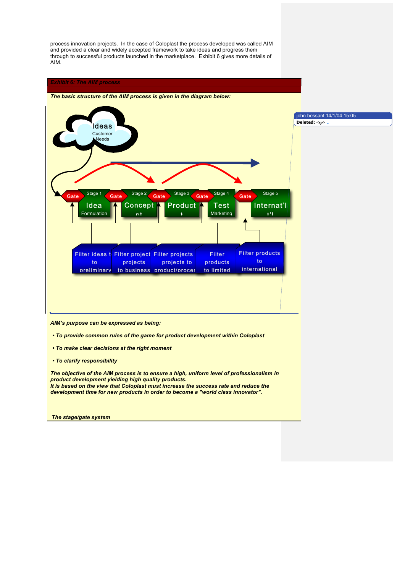process innovation projects. In the case of Coloplast the process developed was called AIM and provided a clear and widely accepted framework to take ideas and progress them through to successful products launched in the marketplace. Exhibit 6 gives more details of AIM.

## *Exhibit 6: The AIM process*



*The basic structure of the AIM process is given in the diagram below:*

*AIM's purpose can be expressed as being:*

- *To provide common rules of the game for product development within Coloplast*
- *To make clear decisions at the right moment*
- *To clarify responsibility*

*The objective of the AIM process is to ensure a high, uniform level of professionalism in product development yielding high quality products. It is based on the view that Coloplast must increase the success rate and reduce the development time for new products in order to become a "world class innovator".*

*The stage/gate system*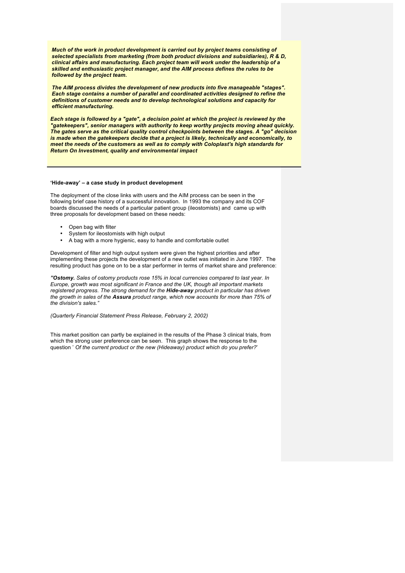*Much of the work in product development is carried out by project teams consisting of selected specialists from marketing (from both product divisions and subsidiaries), R & D, clinical affairs and manufacturing. Each project team will work under the leadership of a skilled and enthusiastic project manager, and the AIM process defines the rules to be followed by the project team.*

*The AIM process divides the development of new products into five manageable "stages". Each stage contains a number of parallel and coordinated activities designed to refine the definitions of customer needs and to develop technological solutions and capacity for efficient manufacturing.*

*Each stage is followed by a "gate", a decision point at which the project is reviewed by the "gatekeepers", senior managers with authority to keep worthy projects moving ahead quickly. The gates serve as the critical quality control checkpoints between the stages. A "go" decision is made when the gatekeepers decide that a project is likely, technically and economically, to meet the needs of the customers as well as to comply with Coloplast's high standards for Return On Investment, quality and environmental impact*

#### **'Hide-away' – a case study in product development**

The deployment of the close links with users and the AIM process can be seen in the following brief case history of a successful innovation. In 1993 the company and its COF boards discussed the needs of a particular patient group (ileostomists) and came up with three proposals for development based on these needs:

- Open bag with filter
- System for ileostomists with high output
- A bag with a more hygienic, easy to handle and comfortable outlet

Development of filter and high output system were given the highest priorities and after implementing these projects the development of a new outlet was initiated in June 1997. The resulting product has gone on to be a star performer in terms of market share and preference:

*"Ostomy. Sales of ostomy products rose 15% in local currencies compared to last year. In Europe, growth was most significant in France and the UK, though all important markets registered progress. The strong demand for the Hide-away product in particular has driven the growth in sales of the Assura product range, which now accounts for more than 75% of the division's sales."*

*(Quarterly Financial Statement Press Release, February 2, 2002)*

This market position can partly be explained in the results of the Phase 3 clinical trials, from which the strong user preference can be seen. This graph shows the response to the question ' *Of the current product or the new (Hideaway) product which do you prefer?*'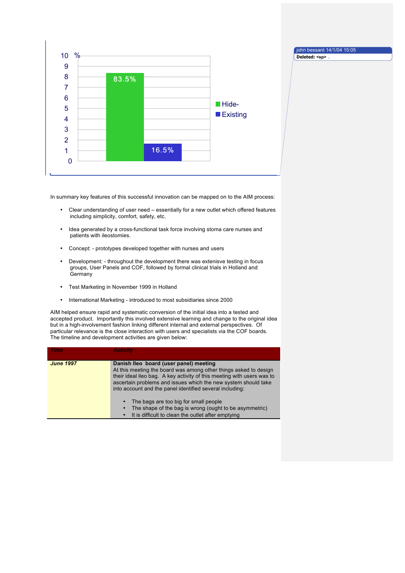

**Deleted: <sp>**

In summary key features of this successful innovation can be mapped on to the AIM process:

- Clear understanding of user need essentially for a new outlet which offered features including simplicity, comfort, safety, etc.
- Idea generated by a cross-functional task force involving stoma care nurses and patients with ileostomies.
- Concept: prototypes developed together with nurses and users
- Development: throughout the development there was extenisve testing in focus groups, User Panels and COF, followed by formal clinical trials in Holland and **Germany**
- Test Marketing in November 1999 in Holland
- International Marketing introduced to most subsidiaries since 2000

AIM helped ensure rapid and systematic conversion of the initial idea into a tested and accepted product. Importantly this involved extensive learning and change to the original idea but in a high-involvement fashion linking different internal and external perspectives. Of particular relevance is the close interaction with users and specialists via the COF boards. The timeline and development activities are given below:

| <b>Time</b>      | <b>Activity</b>                                                                                                                                                                                                                                                                                                    |
|------------------|--------------------------------------------------------------------------------------------------------------------------------------------------------------------------------------------------------------------------------------------------------------------------------------------------------------------|
| <b>June 1997</b> | Danish Ileo board (user panel) meeting<br>At this meeting the board was among other things asked to design<br>their ideal ileo bag. A key activity of this meeting with users was to<br>ascertain problems and issues which the new system should take<br>into account and the panel identified several including: |
|                  | The bags are too big for small people<br>The shape of the bag is wrong (ought to be asymmetric)<br>It is difficult to clean the outlet after emptying                                                                                                                                                              |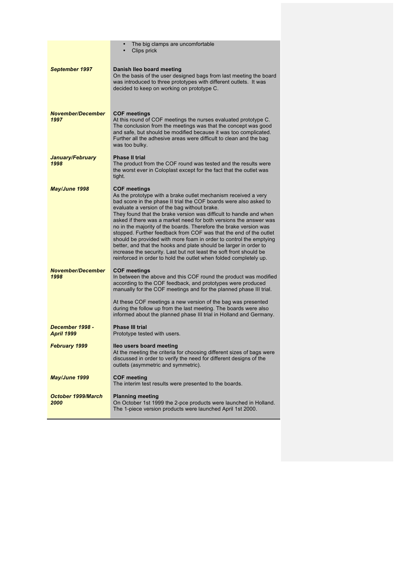|                                      | The big clamps are uncomfortable<br>Clips prick                                                                                                                                                                                                                                                                                                                                                                                                                                                                                                                                                                                                                                                                                                                                       |  |
|--------------------------------------|---------------------------------------------------------------------------------------------------------------------------------------------------------------------------------------------------------------------------------------------------------------------------------------------------------------------------------------------------------------------------------------------------------------------------------------------------------------------------------------------------------------------------------------------------------------------------------------------------------------------------------------------------------------------------------------------------------------------------------------------------------------------------------------|--|
| <b>September 1997</b>                | Danish Ileo board meeting<br>On the basis of the user designed bags from last meeting the board<br>was introduced to three prototypes with different outlets. It was<br>decided to keep on working on prototype C.                                                                                                                                                                                                                                                                                                                                                                                                                                                                                                                                                                    |  |
| <b>November/December</b><br>1997     | <b>COF meetings</b><br>At this round of COF meetings the nurses evaluated prototype C.<br>The conclusion from the meetings was that the concept was good<br>and safe, but should be modified because it was too complicated.<br>Further all the adhesive areas were difficult to clean and the bag<br>was too bulky.                                                                                                                                                                                                                                                                                                                                                                                                                                                                  |  |
| January/February<br>1998             | <b>Phase II trial</b><br>The product from the COF round was tested and the results were<br>the worst ever in Coloplast except for the fact that the outlet was<br>tight.                                                                                                                                                                                                                                                                                                                                                                                                                                                                                                                                                                                                              |  |
| May/June 1998                        | <b>COF meetings</b><br>As the prototype with a brake outlet mechanism received a very<br>bad score in the phase II trial the COF boards were also asked to<br>evaluate a version of the bag without brake.<br>They found that the brake version was difficult to handle and when<br>asked if there was a market need for both versions the answer was<br>no in the majority of the boards. Therefore the brake version was<br>stopped. Further feedback from COF was that the end of the outlet<br>should be provided with more foam in order to control the emptying<br>better, and that the hooks and plate should be larger in order to<br>increase the security. Last but not least the soft front should be<br>reinforced in order to hold the outlet when folded completely up. |  |
| <b>November/December</b><br>1998     | <b>COF meetings</b><br>In between the above and this COF round the product was modified<br>according to the COF feedback, and prototypes were produced<br>manually for the COF meetings and for the planned phase III trial.<br>At these COF meetings a new version of the bag was presented<br>during the follow up from the last meeting. The boards were also                                                                                                                                                                                                                                                                                                                                                                                                                      |  |
|                                      | informed about the planned phase III trial in Holland and Germany.                                                                                                                                                                                                                                                                                                                                                                                                                                                                                                                                                                                                                                                                                                                    |  |
| December 1998 -<br><b>April 1999</b> | <b>Phase III trial</b><br>Prototype tested with users.                                                                                                                                                                                                                                                                                                                                                                                                                                                                                                                                                                                                                                                                                                                                |  |
| February 1999                        | lleo users board meeting<br>At the meeting the criteria for choosing different sizes of bags were<br>discussed in order to verify the need for different designs of the<br>outlets (asymmetric and symmetric).                                                                                                                                                                                                                                                                                                                                                                                                                                                                                                                                                                        |  |
| May/June 1999                        | <b>COF meeting</b><br>The interim test results were presented to the boards.                                                                                                                                                                                                                                                                                                                                                                                                                                                                                                                                                                                                                                                                                                          |  |
| <b>October 1999/March</b><br>2000    | <b>Planning meeting</b><br>On October 1st 1999 the 2-pce products were launched in Holland.<br>The 1-piece version products were launched April 1st 2000.                                                                                                                                                                                                                                                                                                                                                                                                                                                                                                                                                                                                                             |  |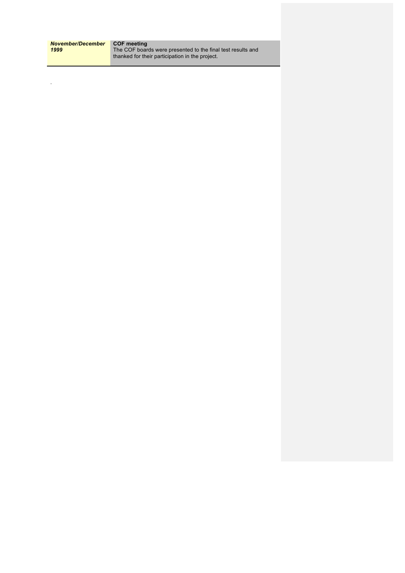| November/December | <b>COF meeting</b>                                          |
|-------------------|-------------------------------------------------------------|
| 1999              | The COF boards were presented to the final test results and |
|                   | thanked for their participation in the project.             |

.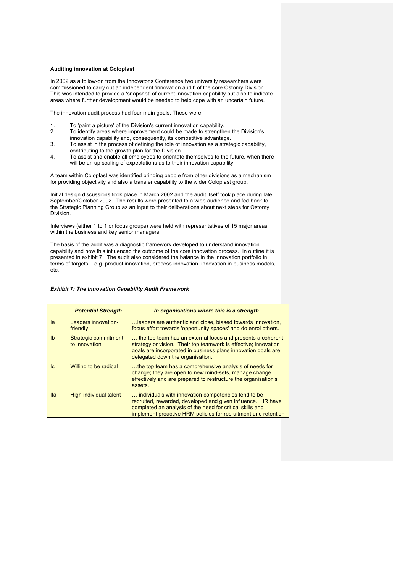#### **Auditing innovation at Coloplast**

In 2002 as a follow-on from the Innovator's Conference two university researchers were commissioned to carry out an independent 'innovation audit' of the core Ostomy Division. This was intended to provide a 'snapshot' of current innovation capability but also to indicate areas where further development would be needed to help cope with an uncertain future.

The innovation audit process had four main goals. These were:

- 1. To 'paint a picture' of the Division's current innovation capability.
- 2. To identify areas where improvement could be made to strengthen the Division's innovation capability and, consequently, its competitive advantage.
- 3. To assist in the process of defining the role of innovation as a strategic capability, contributing to the growth plan for the Division.
- 4. To assist and enable all employees to orientate themselves to the future, when there will be an up scaling of expectations as to their innovation capability.

A team within Coloplast was identified bringing people from other divisions as a mechanism for providing objectivity and also a transfer capability to the wider Coloplast group.

Initial design discussions took place in March 2002 and the audit itself took place during late September/October 2002. The results were presented to a wide audience and fed back to the Strategic Planning Group as an input to their deliberations about next steps for Ostomy Division.

Interviews (either 1 to 1 or focus groups) were held with representatives of 15 major areas within the business and key senior managers.

The basis of the audit was a diagnostic framework developed to understand innovation capability and how this influenced the outcome of the core innovation process. In outline it is presented in exhibit 7. The audit also considered the balance in the innovation portfolio in terms of targets – e.g. product innovation, process innovation, innovation in business models, etc.

## *Exhibit 7: The Innovation Capability Audit Framework*

|                | <b>Potential Strength</b>             | In organisations where this is a strength                                                                                                                                                                                                         |
|----------------|---------------------------------------|---------------------------------------------------------------------------------------------------------------------------------------------------------------------------------------------------------------------------------------------------|
| la             | Leaders innovation-<br>friendly       | leaders are authentic and close, biased towards innovation,<br>focus effort towards 'opportunity spaces' and do enrol others.                                                                                                                     |
| I <sub>b</sub> | Strategic commitment<br>to innovation | the top team has an external focus and presents a coherent<br>strategy or vision. Their top teamwork is effective; innovation<br>goals are incorporated in business plans innovation goals are<br>delegated down the organisation.                |
| <sub>Ic</sub>  | Willing to be radical                 | the top team has a comprehensive analysis of needs for<br>change; they are open to new mind-sets, manage change<br>effectively and are prepared to restructure the organisation's<br>assets.                                                      |
| <b>Ila</b>     | High individual talent                | individuals with innovation competencies tend to be<br>recruited, rewarded, developed and given influence. HR have<br>completed an analysis of the need for critical skills and<br>implement proactive HRM policies for recruitment and retention |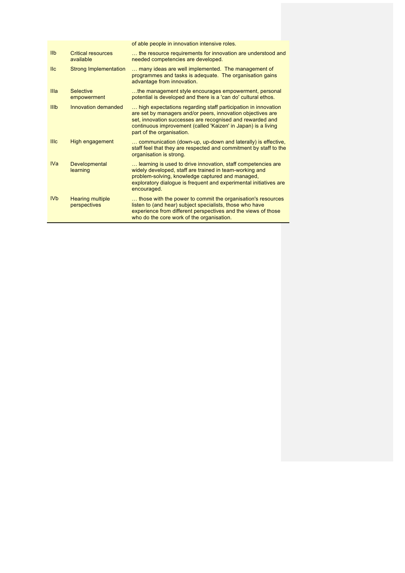|                 |                                         | of able people in innovation intensive roles.                                                                                                                                                                                                                                           |
|-----------------|-----------------------------------------|-----------------------------------------------------------------------------------------------------------------------------------------------------------------------------------------------------------------------------------------------------------------------------------------|
| <b>IIb</b>      | <b>Critical resources</b><br>available  | the resource requirements for innovation are understood and<br>needed competencies are developed.                                                                                                                                                                                       |
| II <sub>c</sub> | <b>Strong Implementation</b>            | many ideas are well implemented. The management of<br>programmes and tasks is adequate. The organisation gains<br>advantage from innovation.                                                                                                                                            |
| Illa            | <b>Selective</b><br>empowerment         | the management style encourages empowerment, personal<br>potential is developed and there is a 'can do' cultural ethos.                                                                                                                                                                 |
| IIIb            | Innovation demanded                     | high expectations regarding staff participation in innovation<br>are set by managers and/or peers, innovation objectives are<br>set, innovation successes are recognised and rewarded and<br>continuous improvement (called 'Kaizen' in Japan) is a living<br>part of the organisation. |
| <b>IIIc</b>     | High engagement                         | communication (down-up, up-down and laterally) is effective,<br>staff feel that they are respected and commitment by staff to the<br>organisation is strong.                                                                                                                            |
| <b>IVa</b>      | <b>Developmental</b><br>learning        | learning is used to drive innovation, staff competencies are<br>widely developed, staff are trained in team-working and<br>problem-solving, knowledge captured and managed,<br>exploratory dialogue is frequent and experimental initiatives are<br>encouraged.                         |
| <b>IVb</b>      | <b>Hearing multiple</b><br>perspectives | those with the power to commit the organisation's resources<br>listen to (and hear) subject specialists, those who have<br>experience from different perspectives and the views of those<br>who do the core work of the organisation.                                                   |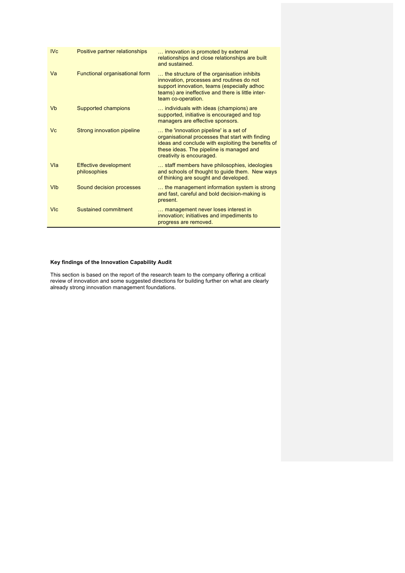| <b>IVc</b> | Positive partner relationships               | innovation is promoted by external<br>relationships and close relationships are built<br>and sustained.                                                                                                                  |
|------------|----------------------------------------------|--------------------------------------------------------------------------------------------------------------------------------------------------------------------------------------------------------------------------|
| Va         | Functional organisational form               | the structure of the organisation inhibits<br>innovation, processes and routines do not<br>support innovation, teams (especially adhoc<br>teams) are ineffective and there is little inter-<br>team co-operation.        |
| Vb         | Supported champions                          | individuals with ideas (champions) are<br>supported, initiative is encouraged and top<br>managers are effective sponsors.                                                                                                |
| Vc         | Strong innovation pipeline                   | the 'innovation pipeline' is a set of<br>organisational processes that start with finding<br>ideas and conclude with exploiting the benefits of<br>these ideas. The pipeline is managed and<br>creativity is encouraged. |
| Vla        | <b>Effective development</b><br>philosophies | staff members have philosophies, ideologies<br>and schools of thought to guide them. New ways<br>of thinking are sought and developed.                                                                                   |
| <b>VIb</b> | Sound decision processes                     | the management information system is strong<br>and fast, careful and bold decision-making is<br>present.                                                                                                                 |
| <b>VIc</b> | Sustained commitment                         | management never loses interest in<br>innovation; initiatives and impediments to<br>progress are removed.                                                                                                                |

# **Key findings of the Innovation Capability Audit**

This section is based on the report of the research team to the company offering a critical review of innovation and some suggested directions for building further on what are clearly already strong innovation management foundations.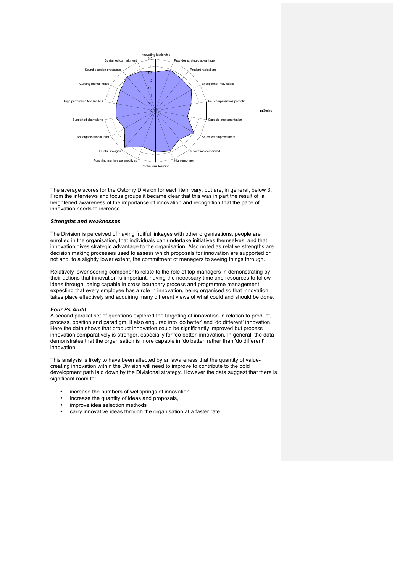

The average scores for the Ostomy Division for each item vary, but are, in general, below 3. From the interviews and focus groups it became clear that this was in part the result of a heightened awareness of the importance of innovation and recognition that the pace of innovation needs to increase.

## *Strengths and weaknesses*

The Division is perceived of having fruitful linkages with other organisations, people are enrolled in the organisation, that individuals can undertake initiatives themselves, and that innovation gives strategic advantage to the organisation. Also noted as relative strengths are decision making processes used to assess which proposals for innovation are supported or not and, to a slightly lower extent, the commitment of managers to seeing things through.

Relatively lower scoring components relate to the role of top managers in demonstrating by their actions that innovation is important, having the necessary time and resources to follow ideas through, being capable in cross boundary process and programme management, expecting that every employee has a role in innovation, being organised so that innovation takes place effectively and acquiring many different views of what could and should be done.

## *Four Ps Audit*

A second parallel set of questions explored the targeting of innovation in relation to product, process, position and paradigm. It also enquired into 'do better' and 'do different' innovation. Here the data shows that product innovation could be significantly improved but process innovation comparatively is stronger, especially for 'do better' innovation. In general, the data demonstrates that the organisation is more capable in 'do better' rather than 'do different' innovation.

This analysis is likely to have been affected by an awareness that the quantity of valuecreating innovation within the Division will need to improve to contribute to the bold development path laid down by the Divisional strategy. However the data suggest that there is significant room to:

- increase the numbers of wellsprings of innovation
- increase the quantity of ideas and proposals,
- improve idea selection methods
- carry innovative ideas through the organisation at a faster rate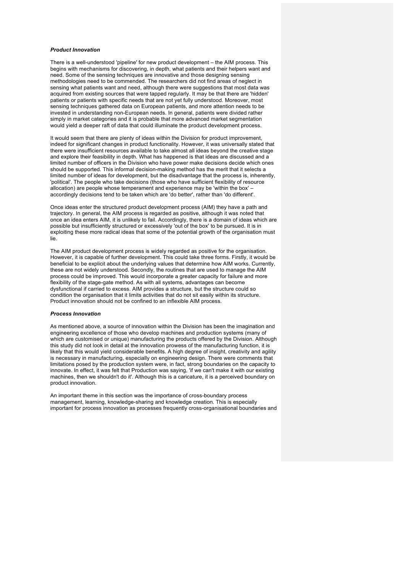## *Product Innovation*

There is a well-understood 'pipeline' for new product development – the AIM process. This begins with mechanisms for discovering, in depth, what patients and their helpers want and need. Some of the sensing techniques are innovative and those designing sensing methodologies need to be commended. The researchers did not find areas of neglect in sensing what patients want and need, although there were suggestions that most data was acquired from existing sources that were tapped regularly. It may be that there are 'hidden' patients or patients with specific needs that are not yet fully understood. Moreover, most sensing techniques gathered data on European patients, and more attention needs to be invested in understanding non-European needs. In general, patients were divided rather simply in market categories and it is probable that more advanced market segmentation would yield a deeper raft of data that could illuminate the product development process.

It would seem that there are plenty of ideas within the Division for product improvement, indeed for significant changes in product functionality. However, it was universally stated that there were insufficient resources available to take almost all ideas beyond the creative stage and explore their feasibility in depth. What has happened is that ideas are discussed and a limited number of officers in the Division who have power make decisions decide which ones should be supported. This informal decision-making method has the merit that it selects a limited number of ideas for development, but the disadvantage that the process is, inherently, 'political'. The people who take decisions (those who have sufficient flexibility of resource allocation) are people whose temperament and experience may be 'within the box' – accordingly decisions tend to be taken which are 'do better', rather than 'do different'.

Once ideas enter the structured product development process (AIM) they have a path and trajectory. In general, the AIM process is regarded as positive, although it was noted that once an idea enters AIM, it is unlikely to fail. Accordingly, there is a domain of ideas which are possible but insufficiently structured or excessively 'out of the box' to be pursued. It is in exploiting these more radical ideas that some of the potential growth of the organisation must lie.

The AIM product development process is widely regarded as positive for the organisation. However, it is capable of further development. This could take three forms. Firstly, it would be beneficial to be explicit about the underlying values that determine how AIM works. Currently, these are not widely understood. Secondly, the routines that are used to manage the AIM process could be improved. This would incorporate a greater capacity for failure and more flexibility of the stage-gate method. As with all systems, advantages can become dysfunctional if carried to excess. AIM provides a structure, but the structure could so condition the organisation that it limits activities that do not sit easily within its structure. Product innovation should not be confined to an inflexible AIM process.

#### *Process Innovation*

As mentioned above, a source of innovation within the Division has been the imagination and engineering excellence of those who develop machines and production systems (many of which are customised or unique) manufacturing the products offered by the Division. Although this study did not look in detail at the innovation prowess of the manufacturing function, it is likely that this would yield considerable benefits. A high degree of insight, creativity and agility is necessary in manufacturing, especially on engineering design. There were comments that limitations posed by the production system were, in fact, strong boundaries on the capacity to innovate. In effect, it was felt that Production was saying, 'if we can't make it with our existing machines, then we shouldn't do it'. Although this is a caricature, it is a perceived boundary on product innovation.

An important theme in this section was the importance of cross-boundary process management, learning, knowledge-sharing and knowledge creation. This is especially important for process innovation as processes frequently cross-organisational boundaries and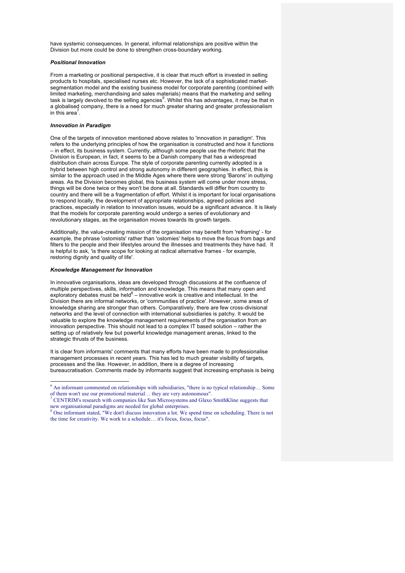have systemic consequences. In general, informal relationships are positive within the Division but more could be done to strengthen cross-boundary working.

## *Positional Innovation*

From a marketing or positional perspective, it is clear that much effort is invested in selling products to hospitals, specialised nurses etc. However, the lack of a sophisticated marketsegmentation model and the existing business model for corporate parenting (combined with limited marketing, merchandising and sales materials) means that the marketing and selling task is largely devolved to the selling agencies<sup>6</sup>. Whilst this has advantages, it may be that in a globalised company, there is a need for much greater sharing and greater professionalism in this area<sup>7</sup>.

#### *Innovation in Paradigm*

One of the targets of innovation mentioned above relates to 'innovation in paradigm'. This refers to the underlying principles of how the organisation is constructed and how it functions – in effect, its business system. Currently, although some people use the rhetoric that the Division is European, in fact, it seems to be a Danish company that has a widespread distribution chain across Europe. The style of corporate parenting currently adopted is a hybrid between high control and strong autonomy in different geographies. In effect, this is similar to the approach used in the Middle Ages where there were strong 'Barons' in outlying areas. As the Division becomes global, this business system will come under more stress, things will be done twice or they won't be done at all. Standards will differ from country to country and there will be a fragmentation of effort. Whilst it is important for local organisations to respond locally, the development of appropriate relationships, agreed policies and practices, especially in relation to innovation issues, would be a significant advance. It is likely that the models for corporate parenting would undergo a series of evolutionary and revolutionary stages, as the organisation moves towards its growth targets.

Additionally, the value-creating mission of the organisation may benefit from 'reframing' - for example, the phrase 'ostomists' rather than 'ostomies' helps to move the focus from bags and filters to the people and their lifestyles around the illnesses and treatments they have had. It is helpful to ask, 'is there scope for looking at radical alternative frames - for example, restoring dignity and quality of life'.

#### *Knowledge Management for Innovation*

In innovative organisations, ideas are developed through discussions at the confluence of multiple perspectives, skills, information and knowledge. This means that many open and exploratory debates must be held $8$  – innovative work is creative and intellectual. In the Division there are informal networks, or 'communities of practice'. However, some areas of knowledge sharing are stronger than others. Comparatively, there are few cross-divisional networks and the level of connection with international subsidiaries is patchy. It would be valuable to explore the knowledge management requirements of the organisation from an innovation perspective. This should not lead to a complex IT based solution – rather the setting up of relatively few but powerful knowledge management arenas, linked to the strategic thrusts of the business.

It is clear from informants' comments that many efforts have been made to professionalise management processes in recent years. This has led to much greater visibility of targets, processes and the like. However, in addition, there is a degree of increasing bureaucratisation. Comments made by informants suggest that increasing emphasis is being

 $6$  An informant commented on relationships with subsidiaries, "there is no typical relationship... Some of them won't use our promotional material... they are very autonomous".

CENTRIM's research with companies like Sun Microsystems and Glaxo SmithKline suggests that new organisational paradigms are needed for global enterprises.

<sup>&</sup>lt;sup>8</sup> One informant stated, "We don't discuss innovation a lot. We spend time on scheduling. There is not the time for creativity. We work to a schedule… it's focus, focus, focus".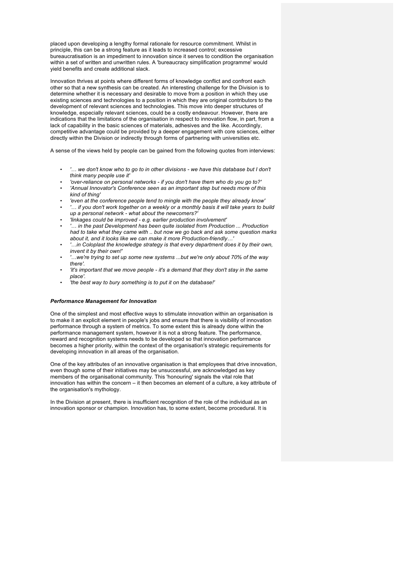placed upon developing a lengthy formal rationale for resource commitment. Whilst in principle, this can be a strong feature as it leads to increased control; excessive bureaucratisation is an impediment to innovation since it serves to condition the organisation within a set of written and unwritten rules. A 'bureaucracy simplification programme' would yield benefits and create additional slack.

Innovation thrives at points where different forms of knowledge conflict and confront each other so that a new synthesis can be created. An interesting challenge for the Division is to determine whether it is necessary and desirable to move from a position in which they use existing sciences and technologies to a position in which they are original contributors to the development of relevant sciences and technologies. This move into deeper structures of knowledge, especially relevant sciences, could be a costly endeavour. However, there are indications that the limitations of the organisation in respect to innovation flow, in part, from a lack of capability in the basic sciences of materials, adhesives and the like. Accordingly, competitive advantage could be provided by a deeper engagement with core sciences, either directly within the Division or indirectly through forms of partnering with universities etc.

A sense of the views held by people can be gained from the following quotes from interviews:

- *'… we don't know who to go to in other divisions - we have this database but I don't think many people use it'*
- *'over-reliance on personal networks - if you don't have them who do you go to?'*
- *'Annual Innovator's Conference seen as an important step but needs more of this kind of thing'*
- *'even at the conference people tend to mingle with the people they already know'*
- *'… if you don't work together on a weekly or a monthly basis it will take years to build up a personal network - what about the newcomers?'*
- *'linkages could be improved - e.g. earlier production involvement'*
- *'… in the past Development has been quite isolated from Production ... Production had to take what they came with .. but now we go back and ask some question marks about it, and it looks like we can make it more Production-friendly…'*
- *'…in Coloplast the knowledge strategy is that every department does it by their own, invent it by their own!'*
- *'…we're trying to set up some new systems ...but we're only about 70% of the way there'.*
- *'it's important that we move people - it's a demand that they don't stay in the same place'.*
- *'the best way to bury something is to put it on the database!'*

#### *Performance Management for Innovation*

One of the simplest and most effective ways to stimulate innovation within an organisation is to make it an explicit element in people's jobs and ensure that there is visibility of innovation performance through a system of metrics. To some extent this is already done within the performance management system, however it is not a strong feature. The performance, reward and recognition systems needs to be developed so that innovation performance becomes a higher priority, within the context of the organisation's strategic requirements for developing innovation in all areas of the organisation.

One of the key attributes of an innovative organisation is that employees that drive innovation, even though some of their initiatives may be unsuccessful, are acknowledged as key members of the organisational community. This 'honouring' signals the vital role that innovation has within the concern – it then becomes an element of a culture, a key attribute of the organisation's mythology.

In the Division at present, there is insufficient recognition of the role of the individual as an innovation sponsor or champion. Innovation has, to some extent, become procedural. It is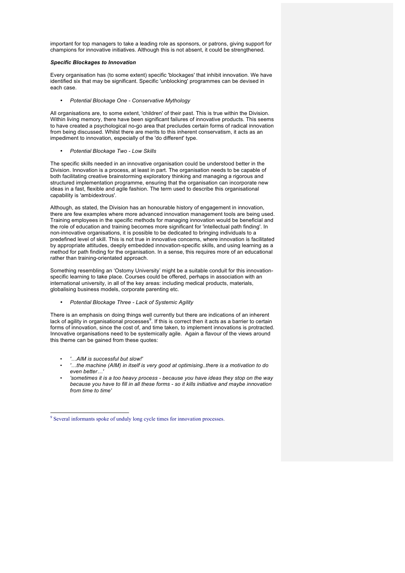important for top managers to take a leading role as sponsors, or patrons, giving support for champions for innovative initiatives. Although this is not absent, it could be strengthened.

## *Specific Blockages to Innovation*

Every organisation has (to some extent) specific 'blockages' that inhibit innovation. We have identified six that may be significant. Specific 'unblocking' programmes can be devised in each case.

• *Potential Blockage One - Conservative Mythology*

All organisations are, to some extent, 'children' of their past. This is true within the Division. Within living memory, there have been significant failures of innovative products. This seems to have created a psychological no-go area that precludes certain forms of radical innovation from being discussed. Whilst there are merits to this inherent conservatism, it acts as an impediment to innovation, especially of the 'do different' type.

• *Potential Blockage Two - Low Skills*

The specific skills needed in an innovative organisation could be understood better in the Division. Innovation is a process, at least in part. The organisation needs to be capable of both facilitating creative brainstorming exploratory thinking and managing a rigorous and structured implementation programme, ensuring that the organisation can incorporate new ideas in a fast, flexible and agile fashion. The term used to describe this organisational capability is 'ambidextrous'.

Although, as stated, the Division has an honourable history of engagement in innovation, there are few examples where more advanced innovation management tools are being used. Training employees in the specific methods for managing innovation would be beneficial and the role of education and training becomes more significant for 'intellectual path finding'. In non-innovative organisations, it is possible to be dedicated to bringing individuals to a predefined level of skill. This is not true in innovative concerns, where innovation is facilitated by appropriate attitudes, deeply embedded innovation-specific skills, and using learning as a method for path finding for the organisation. In a sense, this requires more of an educational rather than training-orientated approach.

Something resembling an 'Ostomy University' might be a suitable conduit for this innovationspecific learning to take place. Courses could be offered, perhaps in association with an international university, in all of the key areas: including medical products, materials, globalising business models, corporate parenting etc.

## • *Potential Blockage Three - Lack of Systemic Agility*

There is an emphasis on doing things well currently but there are indications of an inherent lack of agility in organisational processes<sup>9</sup>. If this is correct then it acts as a barrier to certain forms of innovation, since the cost of, and time taken, to implement innovations is protracted. Innovative organisations need to be systemically agile. Again a flavour of the views around this theme can be gained from these quotes:

- *'…AIM is successful but slow!'*
- *'…the machine (AIM) in itself is very good at optimising..there is a motivation to do even better…'*
- *'sometimes it is a too heavy process - because you have ideas they stop on the way because you have to fill in all these forms - so it kills initiative and maybe innovation from time to time'*

 <sup>9</sup> Several informants spoke of unduly long cycle times for innovation processes.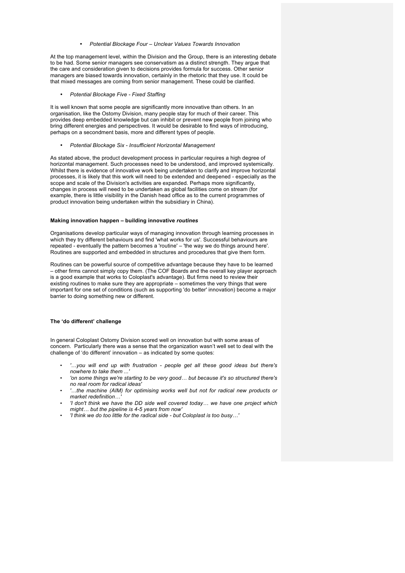#### • *Potential Blockage Four – Unclear Values Towards Innovation*

At the top management level, within the Division and the Group, there is an interesting debate to be had. Some senior managers see conservatism as a distinct strength. They argue that the care and consideration given to decisions provides formula for success. Other senior managers are biased towards innovation, certainly in the rhetoric that they use. It could be that mixed messages are coming from senior management. These could be clarified.

• *Potential Blockage Five - Fixed Staffing*

It is well known that some people are significantly more innovative than others. In an organisation, like the Ostomy Division, many people stay for much of their career. This provides deep embedded knowledge but can inhibit or prevent new people from joining who bring different energies and perspectives. It would be desirable to find ways of introducing, perhaps on a secondment basis, more and different types of people.

• *Potential Blockage Six - Insufficient Horizontal Management*

As stated above, the product development process in particular requires a high degree of horizontal management. Such processes need to be understood, and improved systemically. Whilst there is evidence of innovative work being undertaken to clarify and improve horizontal processes, it is likely that this work will need to be extended and deepened - especially as the scope and scale of the Division's activities are expanded. Perhaps more significantly, changes in process will need to be undertaken as global facilities come on stream (for example, there is little visibility in the Danish head office as to the current programmes of product innovation being undertaken within the subsidiary in China).

#### **Making innovation happen – building innovative** *routines*

Organisations develop particular ways of managing innovation through learning processes in which they try different behaviours and find 'what works for us'. Successful behaviours are repeated - eventually the pattern becomes a 'routine' – 'the way we do things around here'. Routines are supported and embedded in structures and procedures that give them form.

Routines can be powerful source of competitive advantage because they have to be learned – other firms cannot simply copy them. (The COF Boards and the overall key player approach is a good example that works to Coloplast's advantage). But firms need to review their existing routines to make sure they are appropriate – sometimes the very things that were important for one set of conditions (such as supporting 'do better' innovation) become a major barrier to doing something new or different.

#### **The 'do different' challenge**

In general Coloplast Ostomy Division scored well on innovation but with some areas of concern. Particularly there was a sense that the organization wasn't well set to deal with the challenge of 'do different' innovation – as indicated by some quotes:

- *'…you will end up with frustration - people get all these good ideas but there's nowhere to take them ...'*
- *'on some things we're starting to be very good… but because it's so structured there's no real room for radical ideas'*
- *'…the machine (AIM) for optimising works well but not for radical new products or*   $market$  *redefinition* $\dots$
- *'I don't think we have the DD side well covered today… we have one project which might… but the pipeline is 4-5 years from now'*
- *'I think we do too little for the radical side - but Coloplast is too busy…'*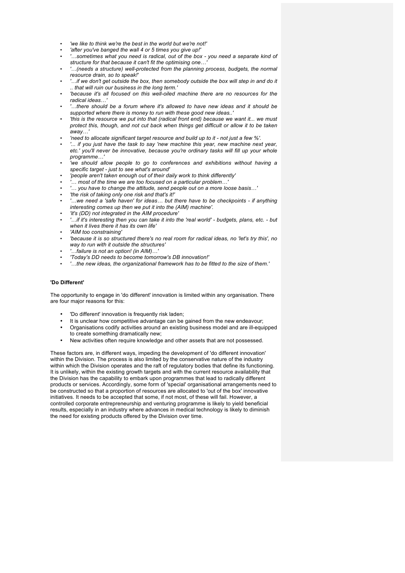- *'we like to think we're the best in the world but we're not!'*
- *'after you've banged the wall 4 or 5 times you give up!'*
- *'…sometimes what you need is radical, out of the box - you need a separate kind of structure for that because it can't fit the optimising one…'*
- *'…(needs a structure) well-protected from the planning process, budgets, the normal resource drain, so to speak!'*
- *'…if we don't get outside the box, then somebody outside the box will step in and do it .. that will ruin our business in the long term.'*
- *'because it's all focused on this well-oiled machine there are no resources for the radical ideas…'*
- *'…there should be a forum where it's allowed to have new ideas and it should be supported where there is money to run with these good new ideas..'*
- *'this is the resource we put into that (radical front end) because we want it... we must protect this, though, and not cut back when things get difficult or allow it to be taken away…'*
- *'need to allocate significant target resource and build up to it - not just a few %'.*
- *'... if you just have the task to say 'new machine this year, new machine next year, etc.' you'll never be innovative, because you're ordinary tasks will fill up your whole programme…'*
- *'we should allow people to go to conferences and exhibitions without having a specific target - just to see what's around'*
- *'people aren't taken enough out of their daily work to think differently'*
- *'… most of the time we are too focused on a particular problem…'*
- *'… you have to change the attitude, send people out on a more loose basis…'*
- *'the risk of taking only one risk and that's it!'*
- *'…we need a 'safe haven' for ideas… but there have to be checkpoints - if anything interesting comes up then we put it into the (AIM) machine'.*
- *'it's (DD) not integrated in the AIM procedure'*
- *'…if it's interesting then you can take it into the 'real world' - budgets, plans, etc. - but when it lives there it has its own life'*
- *'AIM too constraining'*
- *'because it is so structured there's no real room for radical ideas, no 'let's try this', no way to run with it outside the structures'*
- *'…failure is not an option! (in AIM)…'*
- *'Today's DD needs to become tomorrow's DB innovation!'*
- *'…the new ideas, the organizational framework has to be fitted to the size of them.'*

## **'Do Different'**

The opportunity to engage in 'do different' innovation is limited within any organisation. There are four major reasons for this:

- 'Do different' innovation is frequently risk laden;
- It is unclear how competitive advantage can be gained from the new endeavour;
- Organisations codify activities around an existing business model and are ill-equipped to create something dramatically new;
- New activities often require knowledge and other assets that are not possessed.

These factors are, in different ways, impeding the development of 'do different innovation' within the Division. The process is also limited by the conservative nature of the industry within which the Division operates and the raft of regulatory bodies that define its functioning. It is unlikely, within the existing growth targets and with the current resource availability that the Division has the capability to embark upon programmes that lead to radically different products or services. Accordingly, some form of 'special' organisational arrangements need to be constructed so that a proportion of resources are allocated to 'out of the box' innovative initiatives. It needs to be accepted that some, if not most, of these will fail. However, a controlled corporate entrepreneurship and venturing programme is likely to yield beneficial results, especially in an industry where advances in medical technology is likely to diminish the need for existing products offered by the Division over time.